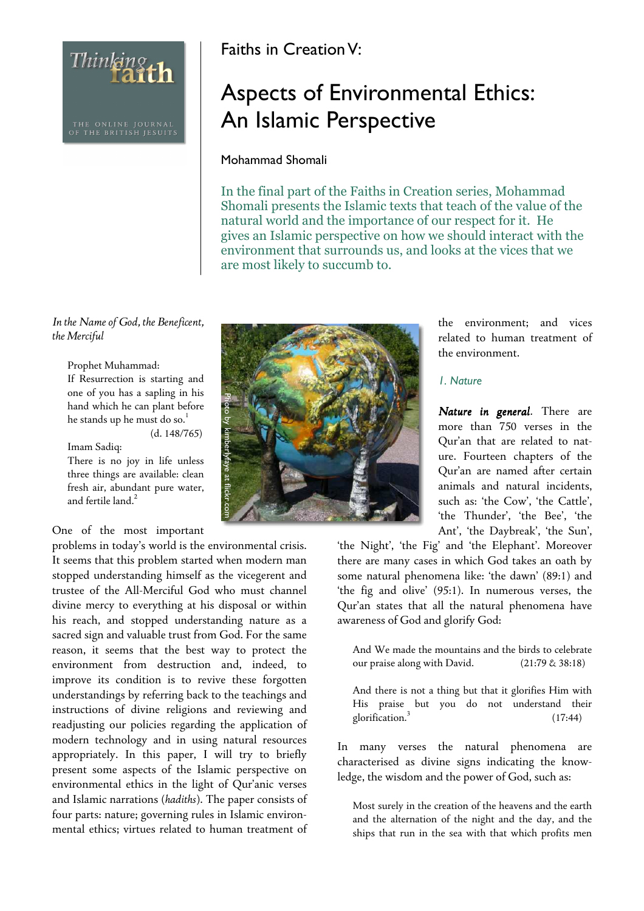THE ONLINE JOURNAL<br>OF THE BRITISH JESUITS

Thinking th

## Faiths in Creation V:

# Aspects of Environmental Ethics: An Islamic Perspective

#### Mohammad Shomali

In the final part of the Faiths in Creation series, Mohammad Shomali presents the Islamic texts that teach of the value of the natural world and the importance of our respect for it. He gives an Islamic perspective on how we should interact with the environment that surrounds us, and looks at the vices that we are most likely to succumb to.

*In the Name of God, the Beneficent, the Merciful* 

Prophet Muhammad:

If Resurrection is starting and one of you has a sapling in his hand which he can plant before he stands up he must do so.<sup>1</sup> (d. 148/765)

Imam Sadiq:

There is no joy in life unless three things are available: clean fresh air, abundant pure water, and fertile land.<sup>2</sup>

### One of the most important

problems in today's world is the environmental crisis. It seems that this problem started when modern man stopped understanding himself as the vicegerent and trustee of the All-Merciful God who must channel divine mercy to everything at his disposal or within his reach, and stopped understanding nature as a sacred sign and valuable trust from God. For the same reason, it seems that the best way to protect the environment from destruction and, indeed, to improve its condition is to revive these forgotten understandings by referring back to the teachings and instructions of divine religions and reviewing and readjusting our policies regarding the application of modern technology and in using natural resources appropriately. In this paper, I will try to briefly present some aspects of the Islamic perspective on environmental ethics in the light of Qur'anic verses and Islamic narrations (*hadiths*). The paper consists of four parts: nature; governing rules in Islamic environmental ethics; virtues related to human treatment of



the environment; and vices related to human treatment of the environment.

#### 1. Nature

*Nature in general.* There are more than 750 verses in the Qur'an that are related to nature. Fourteen chapters of the Qur'an are named after certain animals and natural incidents, such as: 'the Cow', 'the Cattle', 'the Thunder', 'the Bee', 'the Ant', 'the Daybreak', 'the Sun',

'the Night', 'the Fig' and 'the Elephant'. Moreover there are many cases in which God takes an oath by some natural phenomena like: 'the dawn' (89:1) and 'the fig and olive' (95:1). In numerous verses, the Qur'an states that all the natural phenomena have awareness of God and glorify God:

And We made the mountains and the birds to celebrate our praise along with David. (21:79 & 38:18)

And there is not a thing but that it glorifies Him with His praise but you do not understand their glorification.<sup>3</sup> (17:44)

In many verses the natural phenomena are characterised as divine signs indicating the knowledge, the wisdom and the power of God, such as:

Most surely in the creation of the heavens and the earth and the alternation of the night and the day, and the ships that run in the sea with that which profits men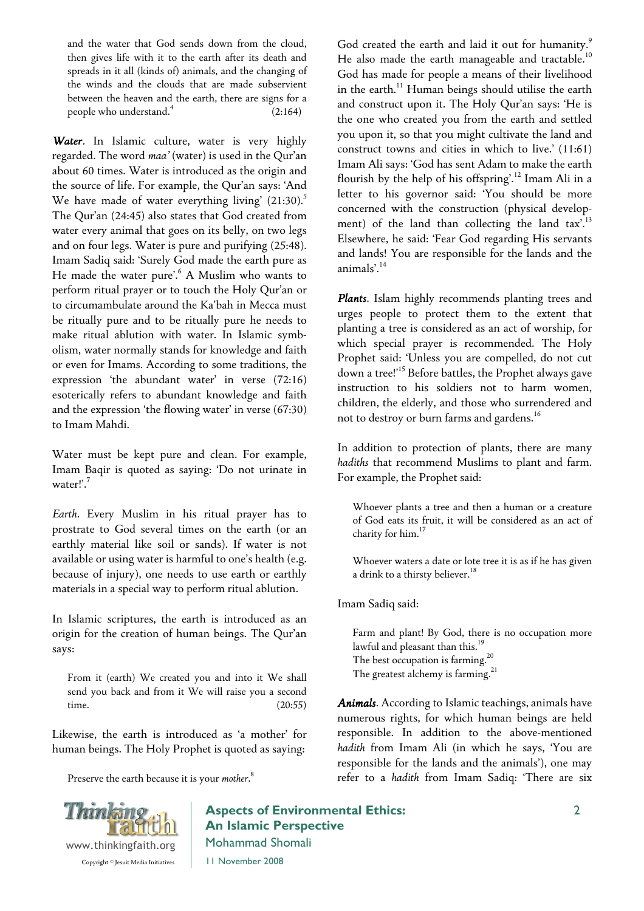and the water that God sends down from the cloud, then gives life with it to the earth after its death and spreads in it all (kinds of) animals, and the changing of the winds and the clouds that are made subservient between the heaven and the earth, there are signs for a people who understand.<sup>4</sup> (2:164)

*Water.* In Islamic culture, water is very highly regarded. The word *maa'* (water) is used in the Qur'an about 60 times. Water is introduced as the origin and the source of life. For example, the Qur'an says: 'And We have made of water everything living'  $(21:30).$ <sup>5</sup> The Qur'an (24:45) also states that God created from water every animal that goes on its belly, on two legs and on four legs. Water is pure and purifying (25:48). Imam Sadiq said: 'Surely God made the earth pure as He made the water pure'.<sup>6</sup> A Muslim who wants to perform ritual prayer or to touch the Holy Qur'an or to circumambulate around the Ka'bah in Mecca must be ritually pure and to be ritually pure he needs to make ritual ablution with water. In Islamic symbolism, water normally stands for knowledge and faith or even for Imams. According to some traditions, the expression 'the abundant water' in verse (72:16) esoterically refers to abundant knowledge and faith and the expression 'the flowing water' in verse (67:30) to Imam Mahdi.

Water must be kept pure and clean. For example, Imam Baqir is quoted as saying: 'Do not urinate in water!'.<sup>7</sup>

*Earth*. Every Muslim in his ritual prayer has to prostrate to God several times on the earth (or an earthly material like soil or sands). If water is not available or using water is harmful to one's health (e.g. because of injury), one needs to use earth or earthly materials in a special way to perform ritual ablution.

In Islamic scriptures, the earth is introduced as an origin for the creation of human beings. The Qur'an says:

From it (earth) We created you and into it We shall send you back and from it We will raise you a second time. (20:55)

Likewise, the earth is introduced as 'a mother' for human beings. The Holy Prophet is quoted as saying:

Preserve the earth because it is your *mother*. 8

God created the earth and laid it out for humanity.<sup>9</sup> He also made the earth manageable and tractable.<sup>10</sup> God has made for people a means of their livelihood in the earth.<sup>11</sup> Human beings should utilise the earth and construct upon it. The Holy Qur'an says: 'He is the one who created you from the earth and settled you upon it, so that you might cultivate the land and construct towns and cities in which to live.' (11:61) Imam Ali says: 'God has sent Adam to make the earth flourish by the help of his offspring'.<sup>12</sup> Imam Ali in a letter to his governor said: 'You should be more concerned with the construction (physical development) of the land than collecting the land  $\text{tax'}$ .<sup>13</sup> Elsewhere, he said: 'Fear God regarding His servants and lands! You are responsible for the lands and the animals'.<sup>14</sup>

*Plants*. Islam highly recommends planting trees and urges people to protect them to the extent that planting a tree is considered as an act of worship, for which special prayer is recommended. The Holy Prophet said: 'Unless you are compelled, do not cut down a tree!'<sup>15</sup> Before battles, the Prophet always gave instruction to his soldiers not to harm women, children, the elderly, and those who surrendered and not to destroy or burn farms and gardens.<sup>16</sup>

In addition to protection of plants, there are many *hadiths* that recommend Muslims to plant and farm. For example, the Prophet said:

Whoever plants a tree and then a human or a creature of God eats its fruit, it will be considered as an act of charity for him.<sup>17</sup>

Whoever waters a date or lote tree it is as if he has given a drink to a thirsty believer.<sup>18</sup>

Imam Sadiq said:

Farm and plant! By God, there is no occupation more lawful and pleasant than this.<sup>19</sup> The best occupation is farming.  $^{20}$ The greatest alchemy is farming.<sup>21</sup>

*Animals*. According to Islamic teachings, animals have numerous rights, for which human beings are held responsible. In addition to the above-mentioned *hadith* from Imam Ali (in which he says, 'You are responsible for the lands and the animals'), one may refer to a *hadith* from Imam Sadiq: 'There are six



Aspects of Environmental Ethics: An Islamic Perspective Mohammad Shomali

11 November 2008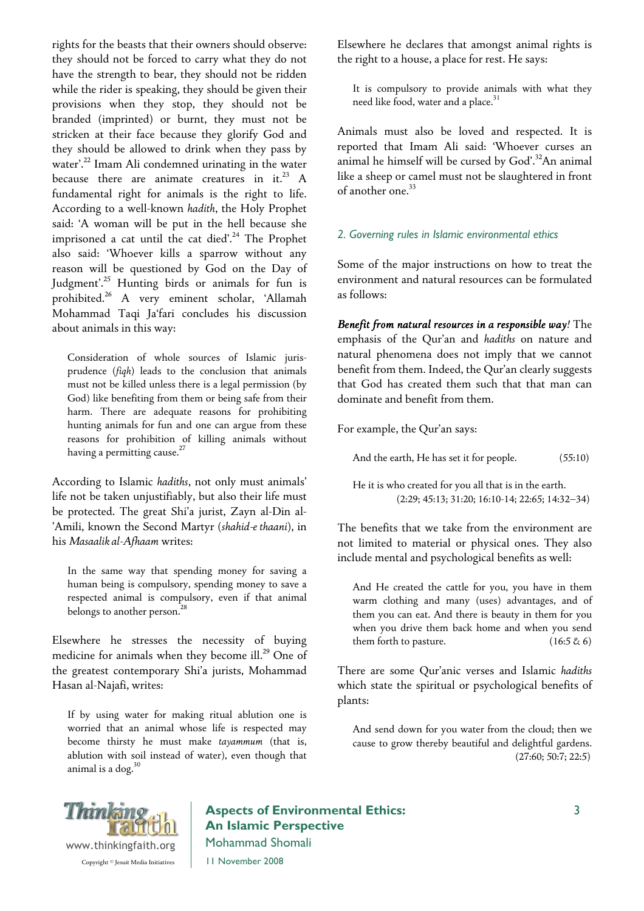rights for the beasts that their owners should observe: they should not be forced to carry what they do not have the strength to bear, they should not be ridden while the rider is speaking, they should be given their provisions when they stop, they should not be branded (imprinted) or burnt, they must not be stricken at their face because they glorify God and they should be allowed to drink when they pass by water'.<sup>22</sup> Imam Ali condemned urinating in the water because there are animate creatures in it.<sup>23</sup> A fundamental right for animals is the right to life. According to a well-known *hadith*, the Holy Prophet said: 'A woman will be put in the hell because she imprisoned a cat until the cat died'.<sup>24</sup> The Prophet also said: 'Whoever kills a sparrow without any reason will be questioned by God on the Day of Judgment'.<sup>25</sup> Hunting birds or animals for fun is prohibited.<sup>26</sup> A very eminent scholar, 'Allamah Mohammad Taqi Ja'fari concludes his discussion about animals in this way:

Consideration of whole sources of Islamic jurisprudence (*fiqh*) leads to the conclusion that animals must not be killed unless there is a legal permission (by God) like benefiting from them or being safe from their harm. There are adequate reasons for prohibiting hunting animals for fun and one can argue from these reasons for prohibition of killing animals without having a permitting cause. $^{27}$ 

According to Islamic *hadiths*, not only must animals' life not be taken unjustifiably, but also their life must be protected. The great Shi'a jurist, Zayn al-Din al- 'Amili, known the Second Martyr (*shahid-e thaani*), in his *Masaalik al-Afhaam* writes:

In the same way that spending money for saving a human being is compulsory, spending money to save a respected animal is compulsory, even if that animal belongs to another person.<sup>28</sup>

Elsewhere he stresses the necessity of buying medicine for animals when they become ill.<sup>29</sup> One of the greatest contemporary Shi'a jurists, Mohammad Hasan al-Najafi, writes:

If by using water for making ritual ablution one is worried that an animal whose life is respected may become thirsty he must make *tayammum* (that is, ablution with soil instead of water), even though that animal is a dog. $30$ 

Elsewhere he declares that amongst animal rights is the right to a house, a place for rest. He says:

It is compulsory to provide animals with what they need like food, water and a place.<sup>31</sup>

Animals must also be loved and respected. It is reported that Imam Ali said: 'Whoever curses an animal he himself will be cursed by God'.<sup>32</sup>An animal like a sheep or camel must not be slaughtered in front of another one.<sup>33</sup>

#### 2. Governing rules in Islamic environmental ethics

Some of the major instructions on how to treat the environment and natural resources can be formulated as follows:

*Benefit from natural resources in a responsible way!* The emphasis of the Qur'an and *hadiths* on nature and natural phenomena does not imply that we cannot benefit from them. Indeed, the Qur'an clearly suggests that God has created them such that that man can dominate and benefit from them.

For example, the Qur'an says:

And the earth, He has set it for people.  $(55:10)$ 

He it is who created for you all that is in the earth. (2:29; 45:13; 31:20; 16:10-14; 22:65; 14:32–34)

The benefits that we take from the environment are not limited to material or physical ones. They also include mental and psychological benefits as well:

And He created the cattle for you, you have in them warm clothing and many (uses) advantages, and of them you can eat. And there is beauty in them for you when you drive them back home and when you send them forth to pasture.  $(16:5 \& 6)$ 

There are some Qur'anic verses and Islamic *hadiths* which state the spiritual or psychological benefits of plants:

And send down for you water from the cloud; then we cause to grow thereby beautiful and delightful gardens. (27:60; 50:7; 22:5)



## Aspects of Environmental Ethics: An Islamic Perspective Mohammad Shomali

11 November 2008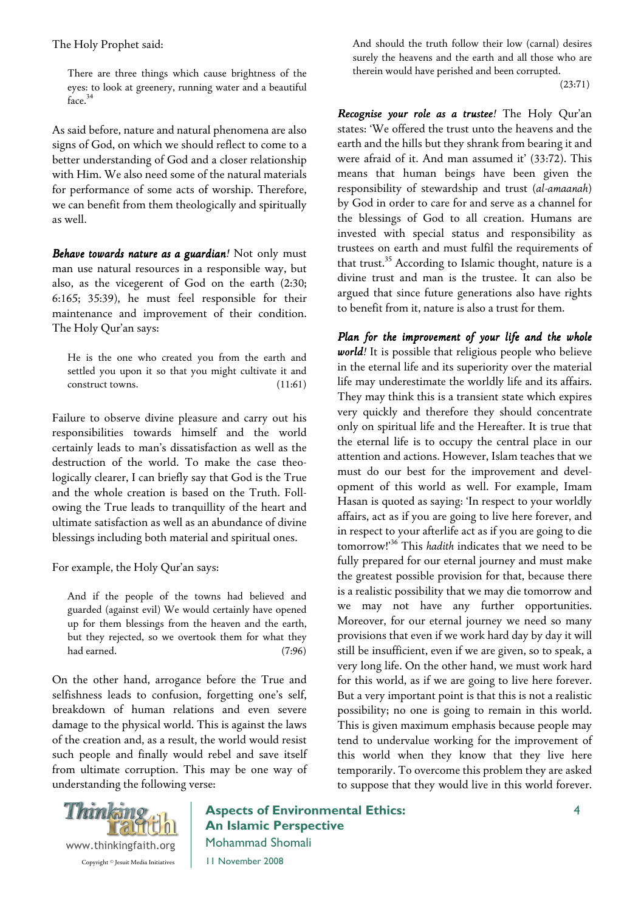The Holy Prophet said:

There are three things which cause brightness of the eyes: to look at greenery, running water and a beautiful face.<sup>34</sup>

As said before, nature and natural phenomena are also signs of God, on which we should reflect to come to a better understanding of God and a closer relationship with Him. We also need some of the natural materials for performance of some acts of worship. Therefore, we can benefit from them theologically and spiritually as well.

*Behave towards nature as a guardian!* Not only must man use natural resources in a responsible way, but also, as the vicegerent of God on the earth (2:30; 6:165; 35:39), he must feel responsible for their maintenance and improvement of their condition. The Holy Qur'an says:

He is the one who created you from the earth and settled you upon it so that you might cultivate it and construct towns. (11:61)

Failure to observe divine pleasure and carry out his responsibilities towards himself and the world certainly leads to man's dissatisfaction as well as the destruction of the world. To make the case theologically clearer, I can briefly say that God is the True and the whole creation is based on the Truth. Following the True leads to tranquillity of the heart and ultimate satisfaction as well as an abundance of divine blessings including both material and spiritual ones.

For example, the Holy Qur'an says:

And if the people of the towns had believed and guarded (against evil) We would certainly have opened up for them blessings from the heaven and the earth, but they rejected, so we overtook them for what they had earned. (7:96)

On the other hand, arrogance before the True and selfishness leads to confusion, forgetting one's self, breakdown of human relations and even severe damage to the physical world. This is against the laws of the creation and, as a result, the world would resist such people and finally would rebel and save itself from ultimate corruption. This may be one way of understanding the following verse:

And should the truth follow their low (carnal) desires surely the heavens and the earth and all those who are therein would have perished and been corrupted.

(23:71)

*Recognise your role as a trustee!* The Holy Qur'an states: 'We offered the trust unto the heavens and the earth and the hills but they shrank from bearing it and were afraid of it. And man assumed it' (33:72). This means that human beings have been given the responsibility of stewardship and trust (*al-amaanah*) by God in order to care for and serve as a channel for the blessings of God to all creation. Humans are invested with special status and responsibility as trustees on earth and must fulfil the requirements of that trust.<sup>35</sup> According to Islamic thought, nature is a divine trust and man is the trustee. It can also be argued that since future generations also have rights to benefit from it, nature is also a trust for them.

*Plan for the improvement of your life and the whole world!* It is possible that religious people who believe in the eternal life and its superiority over the material life may underestimate the worldly life and its affairs. They may think this is a transient state which expires very quickly and therefore they should concentrate only on spiritual life and the Hereafter. It is true that the eternal life is to occupy the central place in our attention and actions. However, Islam teaches that we must do our best for the improvement and development of this world as well. For example, Imam Hasan is quoted as saying: 'In respect to your worldly affairs, act as if you are going to live here forever, and in respect to your afterlife act as if you are going to die tomorrow!'<sup>36</sup> This *hadith* indicates that we need to be fully prepared for our eternal journey and must make the greatest possible provision for that, because there is a realistic possibility that we may die tomorrow and we may not have any further opportunities. Moreover, for our eternal journey we need so many provisions that even if we work hard day by day it will still be insufficient, even if we are given, so to speak, a very long life. On the other hand, we must work hard for this world, as if we are going to live here forever. But a very important point is that this is not a realistic possibility; no one is going to remain in this world. This is given maximum emphasis because people may tend to undervalue working for the improvement of this world when they know that they live here temporarily. To overcome this problem they are asked to suppose that they would live in this world forever.



Aspects of Environmental Ethics: An Islamic Perspective Mohammad Shomali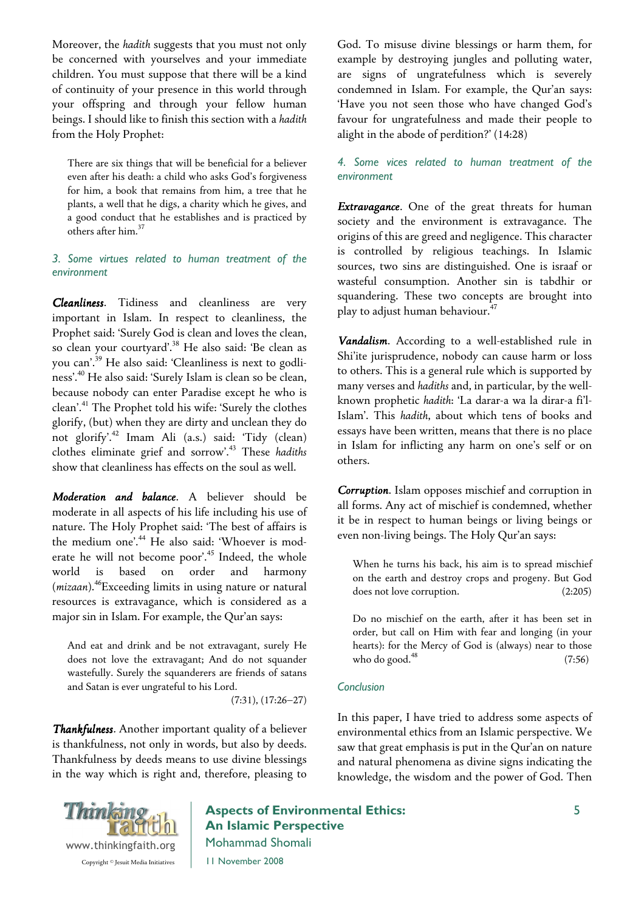Moreover, the *hadith* suggests that you must not only be concerned with yourselves and your immediate children. You must suppose that there will be a kind of continuity of your presence in this world through your offspring and through your fellow human beings. I should like to finish this section with a *hadith* from the Holy Prophet:

There are six things that will be beneficial for a believer even after his death: a child who asks God's forgiveness for him, a book that remains from him, a tree that he plants, a well that he digs, a charity which he gives, and a good conduct that he establishes and is practiced by others after him.<sup>37</sup>

#### 3. Some virtues related to human treatment of the environment

*Cleanliness*. Tidiness and cleanliness are very important in Islam. In respect to cleanliness, the Prophet said: 'Surely God is clean and loves the clean, so clean your courtyard'.<sup>38</sup> He also said: 'Be clean as you can'.<sup>39</sup> He also said: 'Cleanliness is next to godliness'.<sup>40</sup> He also said: 'Surely Islam is clean so be clean, because nobody can enter Paradise except he who is clean'.<sup>41</sup> The Prophet told his wife: 'Surely the clothes glorify, (but) when they are dirty and unclean they do not glorify'.<sup>42</sup> Imam Ali (a.s.) said: 'Tidy (clean) clothes eliminate grief and sorrow'.<sup>43</sup> These *hadiths* show that cleanliness has effects on the soul as well.

*Moderation and balance*. A believer should be moderate in all aspects of his life including his use of nature. The Holy Prophet said: 'The best of affairs is the medium one'.<sup>44</sup> He also said: 'Whoever is moderate he will not become poor'.<sup>45</sup> Indeed, the whole world is based on order and harmony (*mizaan*).<sup>46</sup>Exceeding limits in using nature or natural resources is extravagance, which is considered as a major sin in Islam. For example, the Qur'an says:

And eat and drink and be not extravagant, surely He does not love the extravagant; And do not squander wastefully. Surely the squanderers are friends of satans and Satan is ever ungrateful to his Lord.

(7:31), (17:26–27)

*Thankfulness. Thankfulness* Another important quality of a believer is thankfulness, not only in words, but also by deeds. Thankfulness by deeds means to use divine blessings in the way which is right and, therefore, pleasing to



Aspects of Environmental Ethics: An Islamic Perspective Mohammad Shomali

11 November 2008

God. To misuse divine blessings or harm them, for example by destroying jungles and polluting water, are signs of ungratefulness which is severely condemned in Islam. For example, the Qur'an says: 'Have you not seen those who have changed God's favour for ungratefulness and made their people to alight in the abode of perdition?' (14:28)

#### 4. Some vices related to human treatment of the environment

*Extravagance*. One of the great threats for human society and the environment is extravagance. The origins of this are greed and negligence. This character is controlled by religious teachings. In Islamic sources, two sins are distinguished. One is israaf or wasteful consumption. Another sin is tabdhir or squandering. These two concepts are brought into play to adjust human behaviour.<sup>47</sup>

*Vandalism*. According to a well-established rule in Shi'ite jurisprudence, nobody can cause harm or loss to others. This is a general rule which is supported by many verses and *hadiths* and, in particular, by the wellknown prophetic *hadith*: 'La darar-a wa la dirar-a fi'l-Islam'. This *hadith*, about which tens of books and essays have been written, means that there is no place in Islam for inflicting any harm on one's self or on others.

*Corruption*. Islam opposes mischief and corruption in all forms. Any act of mischief is condemned, whether it be in respect to human beings or living beings or even non-living beings. The Holy Qur'an says:

When he turns his back, his aim is to spread mischief on the earth and destroy crops and progeny. But God does not love corruption. (2:205)

Do no mischief on the earth, after it has been set in order, but call on Him with fear and longing (in your hearts): for the Mercy of God is (always) near to those who do good.<sup>48</sup> (7:56)

#### Conclusion

In this paper, I have tried to address some aspects of environmental ethics from an Islamic perspective. We saw that great emphasis is put in the Qur'an on nature and natural phenomena as divine signs indicating the knowledge, the wisdom and the power of God. Then